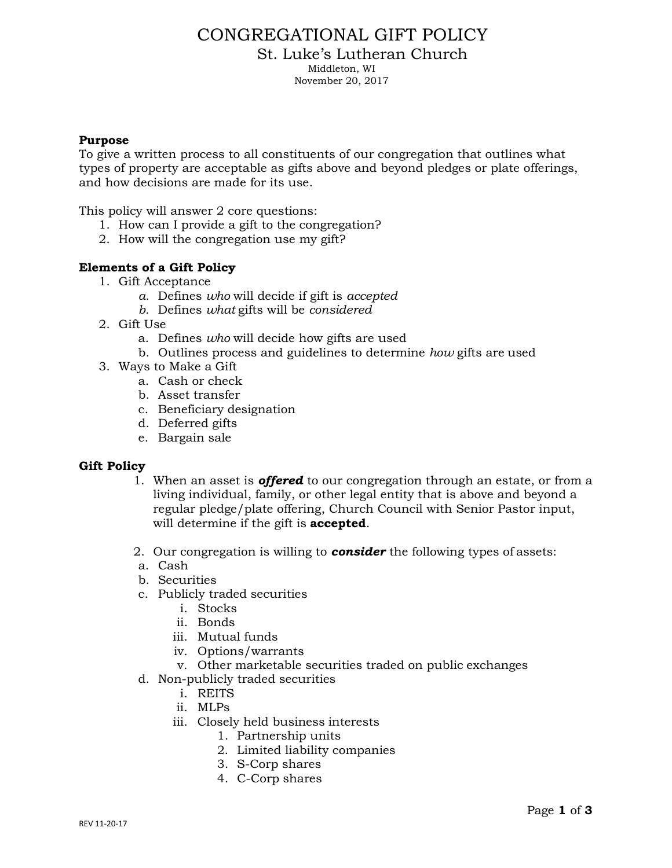# CONGREGATIONAL GIFT POLICY

St. Luke's Lutheran Church

Middleton, WI

November 20, 2017

### **Purpose**

To give a written process to all constituents of our congregation that outlines what types of property are acceptable as gifts above and beyond pledges or plate offerings, and how decisions are made for its use.

This policy will answer 2 core questions:

- 1. How can I provide a gift to the congregation?
- 2. How will the congregation use my gift?

## **Elements of a Gift Policy**

- 1. Gift Acceptance
	- *a.* Defines *who* will decide if gift is *accepted*
	- *b.* Defines *what* gifts will be *considered*
- 2. Gift Use
	- a. Defines *who* will decide how gifts are used
	- b. Outlines process and guidelines to determine *how* gifts are used
- 3. Ways to Make a Gift
	- a. Cash or check
	- b. Asset transfer
	- c. Beneficiary designation
	- d. Deferred gifts
	- e. Bargain sale

#### **Gift Policy**

- 1. When an asset is *offered* to our congregation through an estate, or from a living individual, family, or other legal entity that is above and beyond a regular pledge/plate offering, Church Council with Senior Pastor input, will determine if the gift is **accepted**.
- 2. Our congregation is willing to *consider* the following types of assets:
- a. Cash
- b. Securities
- c. Publicly traded securities
	- i. Stocks
	- ii. Bonds
	- iii. Mutual funds
	- iv. Options/warrants
	- v. Other marketable securities traded on public exchanges
- d. Non-publicly traded securities
	- i. REITS
	- ii. MLPs
	- iii. Closely held business interests
		- 1. Partnership units
		- 2. Limited liability companies
		- 3. S-Corp shares
		- 4. C-Corp shares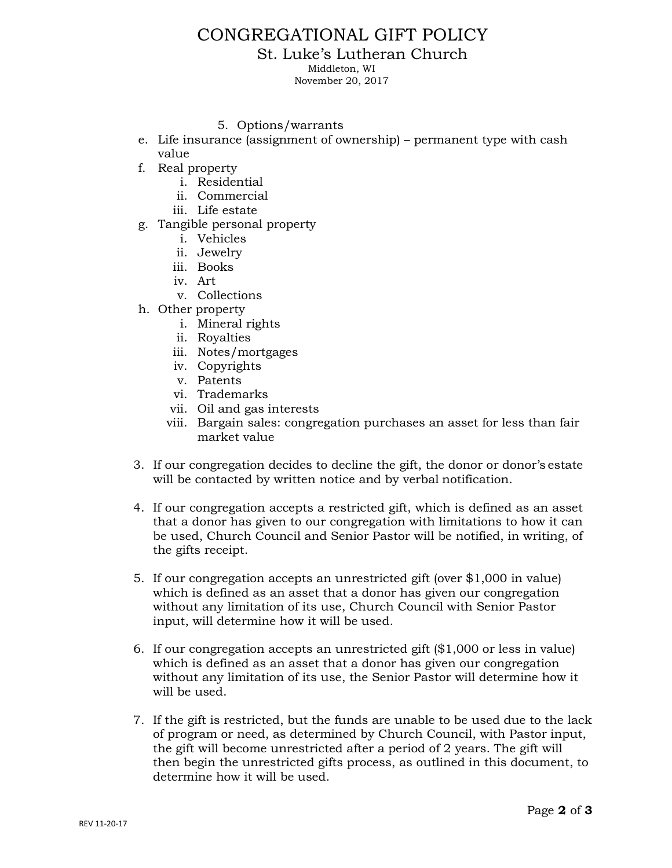# CONGREGATIONAL GIFT POLICY

St. Luke's Lutheran Church

Middleton, WI

November 20, 2017

#### 5. Options/warrants

- e. Life insurance (assignment of ownership) permanent type with cash value
- f. Real property
	- i. Residential
	- ii. Commercial
	- iii. Life estate
- g. Tangible personal property
	- i. Vehicles
	- ii. Jewelry
	- iii. Books
	- iv. Art
	- v. Collections
- h. Other property
	- i. Mineral rights
	- ii. Royalties
	- iii. Notes/mortgages
	- iv. Copyrights
	- v. Patents
	- vi. Trademarks
	- vii. Oil and gas interests
	- viii. Bargain sales: congregation purchases an asset for less than fair market value
- 3. If our congregation decides to decline the gift, the donor or donor's estate will be contacted by written notice and by verbal notification.
- 4. If our congregation accepts a restricted gift, which is defined as an asset that a donor has given to our congregation with limitations to how it can be used, Church Council and Senior Pastor will be notified, in writing, of the gifts receipt.
- 5. If our congregation accepts an unrestricted gift (over \$1,000 in value) which is defined as an asset that a donor has given our congregation without any limitation of its use, Church Council with Senior Pastor input, will determine how it will be used.
- 6. If our congregation accepts an unrestricted gift (\$1,000 or less in value) which is defined as an asset that a donor has given our congregation without any limitation of its use, the Senior Pastor will determine how it will be used.
- 7. If the gift is restricted, but the funds are unable to be used due to the lack of program or need, as determined by Church Council, with Pastor input, the gift will become unrestricted after a period of 2 years. The gift will then begin the unrestricted gifts process, as outlined in this document, to determine how it will be used.